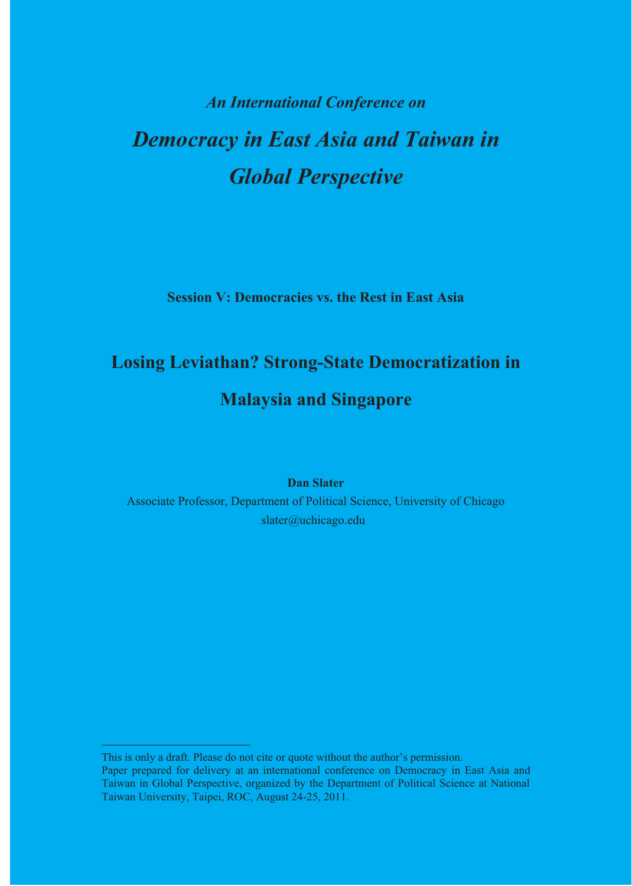# **An International Conference on Democracy in East Asia and Taiwan in Global Perspective**

**Session V: Democracies vs. the Rest in East Asia** 

## **Losing Leviathan? Strong-State Democratization in Malaysia and Singapore**

**Dan Slater** 

Associate Professor, Department of Political Science, University of Chicago slater@uchicago.edu

This is only a draft. Please do not cite or quote without the author's permission. Paper prepared for delivery at an international conference on Democracy in East Asia and Taiwan in Global Perspective, organized by the Department of Political Science at National Taiwan University, Taipei, ROC, August 24-25, 2011.